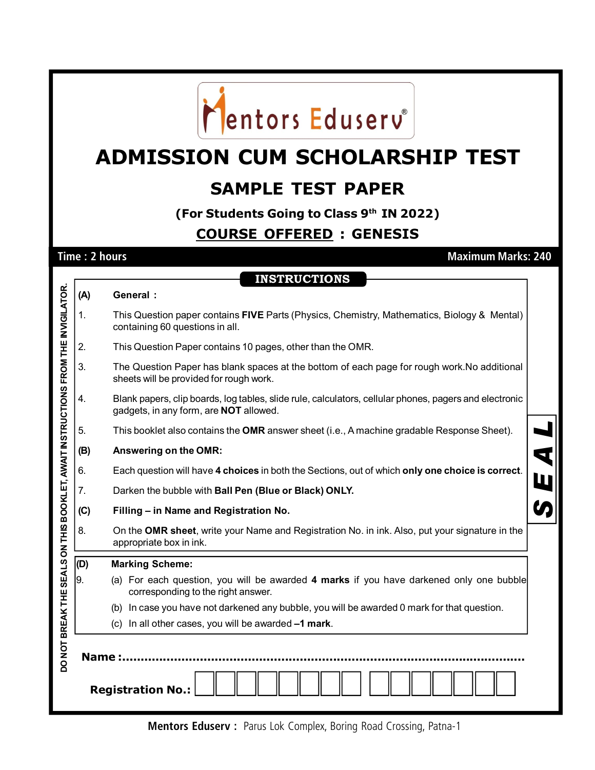

## **ADMISSION CUM SCHOLARSHIP TEST**

## **SAMPLE TEST PAPER**

**(For Students Going to Class 9th IN 2022)**

## **COURSE OFFERED : GENESIS**

**Time : 2 hours Maximum Marks: 240**

**INSTRUCTIONS**

|                                                                                                                         | (A)            | <b>General:</b>                                                                                                                                         |   |  |  |  |  |  |  |
|-------------------------------------------------------------------------------------------------------------------------|----------------|---------------------------------------------------------------------------------------------------------------------------------------------------------|---|--|--|--|--|--|--|
|                                                                                                                         | $\mathbf{1}$ . | This Question paper contains FIVE Parts (Physics, Chemistry, Mathematics, Biology & Mental)<br>containing 60 questions in all.                          |   |  |  |  |  |  |  |
|                                                                                                                         | 2.             | This Question Paper contains 10 pages, other than the OMR.                                                                                              |   |  |  |  |  |  |  |
|                                                                                                                         | 3.             | The Question Paper has blank spaces at the bottom of each page for rough work. No additional<br>sheets will be provided for rough work.                 |   |  |  |  |  |  |  |
|                                                                                                                         | 4.             | Blank papers, clip boards, log tables, slide rule, calculators, cellular phones, pagers and electronic<br>gadgets, in any form, are <b>NOT</b> allowed. |   |  |  |  |  |  |  |
|                                                                                                                         | 5.             | This booklet also contains the <b>OMR</b> answer sheet (i.e., A machine gradable Response Sheet).                                                       |   |  |  |  |  |  |  |
|                                                                                                                         | (B)            | Answering on the OMR:                                                                                                                                   |   |  |  |  |  |  |  |
|                                                                                                                         | 6.             | Each question will have 4 choices in both the Sections, out of which only one choice is correct.                                                        | W |  |  |  |  |  |  |
|                                                                                                                         | 7.             | Darken the bubble with Ball Pen (Blue or Black) ONLY.                                                                                                   |   |  |  |  |  |  |  |
|                                                                                                                         | (C)            | Filling - in Name and Registration No.                                                                                                                  |   |  |  |  |  |  |  |
|                                                                                                                         | 8.             | On the OMR sheet, write your Name and Registration No. in ink. Also, put your signature in the<br>appropriate box in ink.                               |   |  |  |  |  |  |  |
|                                                                                                                         | (D)            | <b>Marking Scheme:</b>                                                                                                                                  |   |  |  |  |  |  |  |
|                                                                                                                         | 9.             | (a) For each question, you will be awarded 4 marks if you have darkened only one bubble<br>corresponding to the right answer.                           |   |  |  |  |  |  |  |
|                                                                                                                         |                | (b) In case you have not darkened any bubble, you will be awarded 0 mark for that question.                                                             |   |  |  |  |  |  |  |
|                                                                                                                         |                | (c) In all other cases, you will be awarded -1 mark.                                                                                                    |   |  |  |  |  |  |  |
| DO NOT BREAK THE SEALS ON THIS BOOKLET, AWAIT INSTRUCTIONS FROM THE INVIGILATOR.<br>Name :.<br><b>Registration No.:</b> |                |                                                                                                                                                         |   |  |  |  |  |  |  |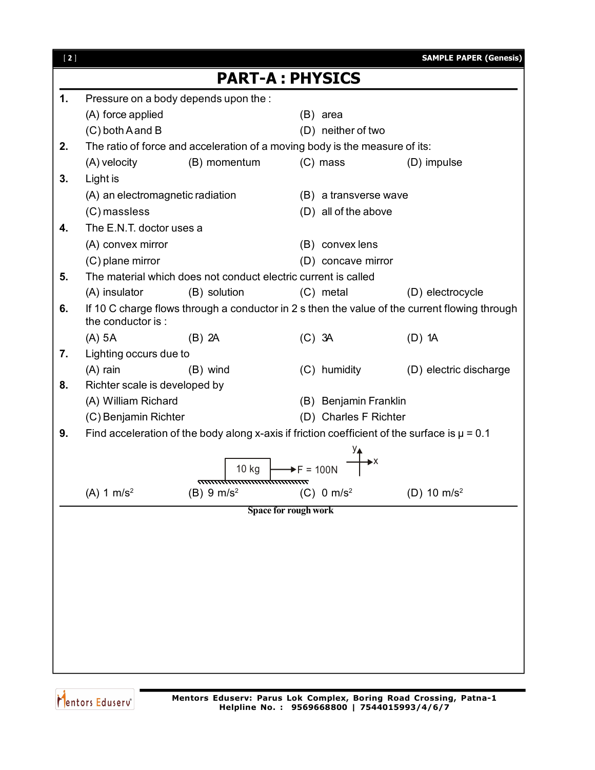| $[2]$ |                                  |                                                                                                  |                        | <b>SAMPLE PAPER (Genesis)</b>                                                                 |
|-------|----------------------------------|--------------------------------------------------------------------------------------------------|------------------------|-----------------------------------------------------------------------------------------------|
|       |                                  |                                                                                                  | <b>PART-A: PHYSICS</b> |                                                                                               |
| 1.    |                                  | Pressure on a body depends upon the :                                                            |                        |                                                                                               |
|       | (A) force applied                |                                                                                                  | (B) area               |                                                                                               |
|       | (C) both A and B                 |                                                                                                  | (D) neither of two     |                                                                                               |
| 2.    |                                  | The ratio of force and acceleration of a moving body is the measure of its:                      |                        |                                                                                               |
|       | (A) velocity                     | (B) momentum                                                                                     | $(C)$ mass             | (D) impulse                                                                                   |
| 3.    | Light is                         |                                                                                                  |                        |                                                                                               |
|       | (A) an electromagnetic radiation |                                                                                                  | (B) a transverse wave  |                                                                                               |
|       | $(C)$ massless                   |                                                                                                  | (D) all of the above   |                                                                                               |
| 4.    | The E.N.T. doctor uses a         |                                                                                                  |                        |                                                                                               |
|       | (A) convex mirror                |                                                                                                  | (B) convex lens        |                                                                                               |
|       | (C) plane mirror                 |                                                                                                  | (D) concave mirror     |                                                                                               |
| 5.    |                                  | The material which does not conduct electric current is called                                   |                        |                                                                                               |
|       | (A) insulator                    | (B) solution                                                                                     | (C) metal              | (D) electrocycle                                                                              |
| 6.    | the conductor is:                |                                                                                                  |                        | If 10 C charge flows through a conductor in 2 s then the value of the current flowing through |
|       | $(A)$ 5A                         | $(B)$ 2A                                                                                         | $(C)$ 3A               | $(D)$ 1A                                                                                      |
| 7.    | Lighting occurs due to           |                                                                                                  |                        |                                                                                               |
|       | $(A)$ rain                       | (B) wind                                                                                         | (C) humidity           | (D) electric discharge                                                                        |
| 8.    | Richter scale is developed by    |                                                                                                  |                        |                                                                                               |
|       | (A) William Richard              |                                                                                                  | (B) Benjamin Franklin  |                                                                                               |
|       | (C) Benjamin Richter             |                                                                                                  | (D) Charles F Richter  |                                                                                               |
| 9.    |                                  | Find acceleration of the body along x-axis if friction coefficient of the surface is $\mu$ = 0.1 |                        |                                                                                               |
|       |                                  |                                                                                                  |                        |                                                                                               |
|       |                                  | 10 kg                                                                                            |                        |                                                                                               |
|       | $(A) 1 m/s^2$                    | $(B) 9 m/s^2$                                                                                    | (C) 0 m/s <sup>2</sup> | (D) 10 $m/s^2$                                                                                |
|       |                                  |                                                                                                  | Space for rough work   |                                                                                               |
|       |                                  |                                                                                                  |                        |                                                                                               |
|       |                                  |                                                                                                  |                        |                                                                                               |
|       |                                  |                                                                                                  |                        |                                                                                               |
|       |                                  |                                                                                                  |                        |                                                                                               |
|       |                                  |                                                                                                  |                        |                                                                                               |
|       |                                  |                                                                                                  |                        |                                                                                               |
|       |                                  |                                                                                                  |                        |                                                                                               |
|       |                                  |                                                                                                  |                        |                                                                                               |
|       |                                  |                                                                                                  |                        |                                                                                               |

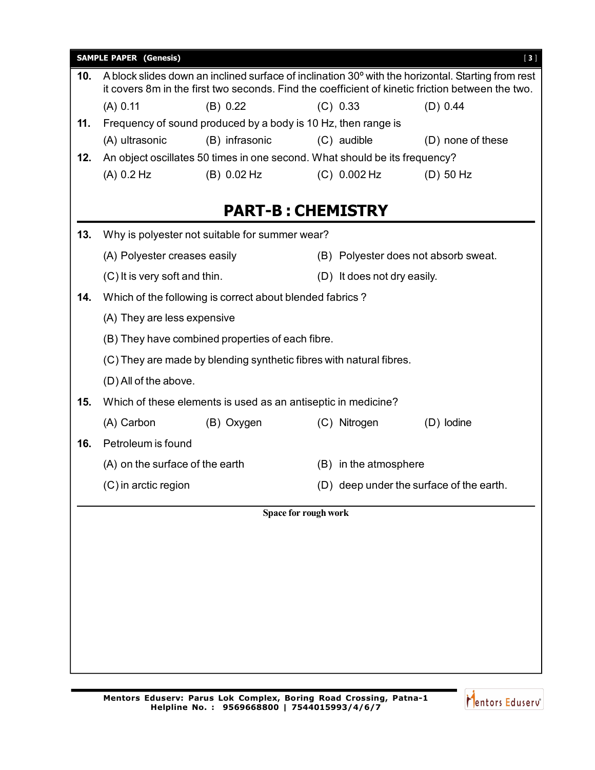|     | <b>SAMPLE PAPER (Genesis)</b>   |                                                                            |                      |                             | $[3]$                                                                                                                                                                                                  |  |  |
|-----|---------------------------------|----------------------------------------------------------------------------|----------------------|-----------------------------|--------------------------------------------------------------------------------------------------------------------------------------------------------------------------------------------------------|--|--|
| 10. |                                 |                                                                            |                      |                             | A block slides down an inclined surface of inclination 30° with the horizontal. Starting from rest<br>it covers 8m in the first two seconds. Find the coefficient of kinetic friction between the two. |  |  |
|     | (A) 0.11                        | (B) 0.22                                                                   |                      | (C) 0.33                    | (D) 0.44                                                                                                                                                                                               |  |  |
| 11. |                                 | Frequency of sound produced by a body is 10 Hz, then range is              |                      |                             |                                                                                                                                                                                                        |  |  |
|     | (A) ultrasonic                  | (B) infrasonic                                                             |                      | (C) audible                 | (D) none of these                                                                                                                                                                                      |  |  |
| 12. |                                 | An object oscillates 50 times in one second. What should be its frequency? |                      |                             |                                                                                                                                                                                                        |  |  |
|     | (A) 0.2 Hz                      | (B) 0.02 Hz                                                                |                      | $(C) 0.002$ Hz              | $(D)$ 50 Hz                                                                                                                                                                                            |  |  |
|     |                                 | <b>PART-B: CHEMISTRY</b>                                                   |                      |                             |                                                                                                                                                                                                        |  |  |
| 13. |                                 | Why is polyester not suitable for summer wear?                             |                      |                             |                                                                                                                                                                                                        |  |  |
|     | (A) Polyester creases easily    |                                                                            |                      |                             | (B) Polyester does not absorb sweat.                                                                                                                                                                   |  |  |
|     | (C) It is very soft and thin.   |                                                                            |                      | (D) It does not dry easily. |                                                                                                                                                                                                        |  |  |
| 14. |                                 | Which of the following is correct about blended fabrics?                   |                      |                             |                                                                                                                                                                                                        |  |  |
|     | (A) They are less expensive     |                                                                            |                      |                             |                                                                                                                                                                                                        |  |  |
|     |                                 | (B) They have combined properties of each fibre.                           |                      |                             |                                                                                                                                                                                                        |  |  |
|     |                                 | (C) They are made by blending synthetic fibres with natural fibres.        |                      |                             |                                                                                                                                                                                                        |  |  |
|     | (D) All of the above.           |                                                                            |                      |                             |                                                                                                                                                                                                        |  |  |
| 15. |                                 | Which of these elements is used as an antiseptic in medicine?              |                      |                             |                                                                                                                                                                                                        |  |  |
|     | (A) Carbon                      | (B) Oxygen                                                                 |                      | (C) Nitrogen                | (D) lodine                                                                                                                                                                                             |  |  |
| 16. | Petroleum is found              |                                                                            |                      |                             |                                                                                                                                                                                                        |  |  |
|     | (A) on the surface of the earth |                                                                            |                      | (B) in the atmosphere       |                                                                                                                                                                                                        |  |  |
|     | (C) in arctic region            |                                                                            |                      |                             | (D) deep under the surface of the earth.                                                                                                                                                               |  |  |
|     |                                 |                                                                            | Space for rough work |                             |                                                                                                                                                                                                        |  |  |
|     |                                 |                                                                            |                      |                             |                                                                                                                                                                                                        |  |  |
|     |                                 |                                                                            |                      |                             |                                                                                                                                                                                                        |  |  |
|     |                                 |                                                                            |                      |                             |                                                                                                                                                                                                        |  |  |
|     |                                 |                                                                            |                      |                             |                                                                                                                                                                                                        |  |  |
|     |                                 |                                                                            |                      |                             |                                                                                                                                                                                                        |  |  |
|     |                                 |                                                                            |                      |                             |                                                                                                                                                                                                        |  |  |
|     |                                 |                                                                            |                      |                             |                                                                                                                                                                                                        |  |  |
|     |                                 |                                                                            |                      |                             |                                                                                                                                                                                                        |  |  |
|     |                                 |                                                                            |                      |                             |                                                                                                                                                                                                        |  |  |

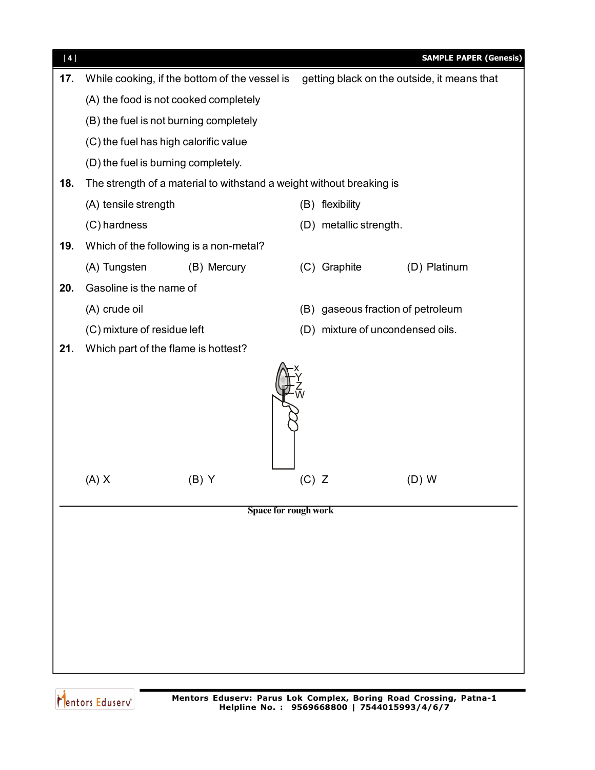

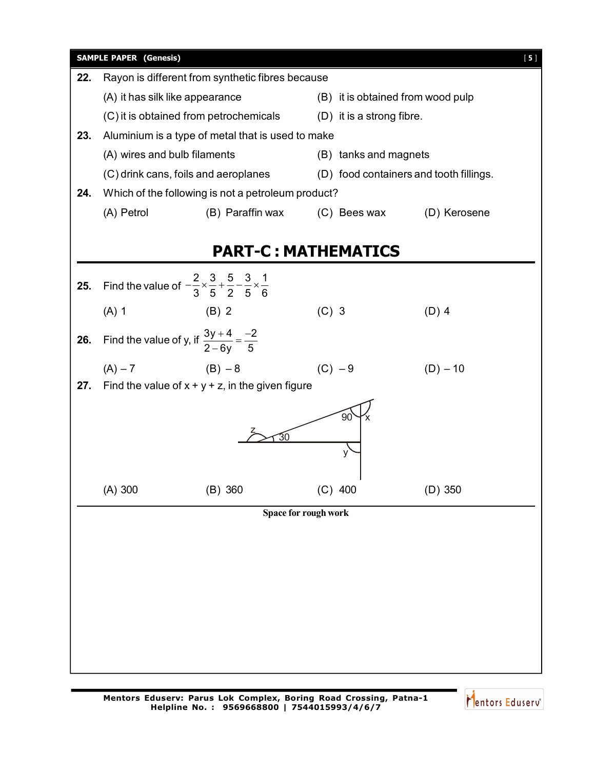

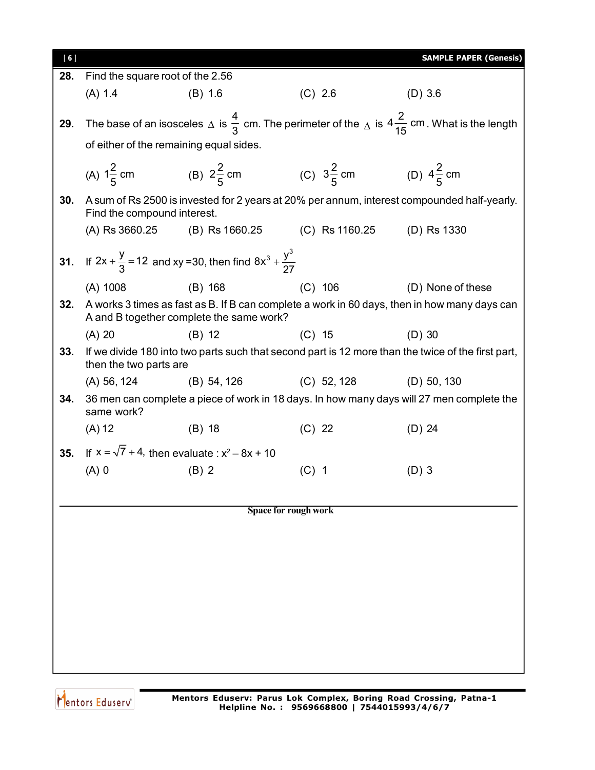| [6] |                                                                                                                                      |                                                                                         |                             | <b>SAMPLE PAPER (Genesis)</b>                                                                      |  |  |  |  |
|-----|--------------------------------------------------------------------------------------------------------------------------------------|-----------------------------------------------------------------------------------------|-----------------------------|----------------------------------------------------------------------------------------------------|--|--|--|--|
| 28. | Find the square root of the 2.56                                                                                                     |                                                                                         |                             |                                                                                                    |  |  |  |  |
|     | (A) 1.4                                                                                                                              | (B) 1.6                                                                                 | $(C)$ 2.6                   | $(D)$ 3.6                                                                                          |  |  |  |  |
| 29. | The base of an isosceles $\triangle$ is $\frac{4}{3}$ cm. The perimeter of the $\triangle$ is $4\frac{2}{15}$ cm. What is the length |                                                                                         |                             |                                                                                                    |  |  |  |  |
|     |                                                                                                                                      | of either of the remaining equal sides.                                                 |                             |                                                                                                    |  |  |  |  |
|     |                                                                                                                                      | (A) $1\frac{2}{5}$ cm (B) $2\frac{2}{5}$ cm (C) $3\frac{2}{5}$ cm (D) $4\frac{2}{5}$ cm |                             |                                                                                                    |  |  |  |  |
| 30. | Find the compound interest.                                                                                                          |                                                                                         |                             | A sum of Rs 2500 is invested for 2 years at 20% per annum, interest compounded half-yearly.        |  |  |  |  |
|     | (A) Rs 3660.25                                                                                                                       | (B) Rs 1660.25                                                                          | (C) Rs 1160.25 (D) Rs 1330  |                                                                                                    |  |  |  |  |
|     |                                                                                                                                      | 31. If $2x + \frac{y}{3} = 12$ and xy = 30, then find $8x^3 + \frac{y^3}{27}$           |                             |                                                                                                    |  |  |  |  |
|     | $(A)$ 1008                                                                                                                           | $(B)$ 168                                                                               | $(C)$ 106                   | (D) None of these                                                                                  |  |  |  |  |
| 32. |                                                                                                                                      | A and B together complete the same work?                                                |                             | A works 3 times as fast as B. If B can complete a work in 60 days, then in how many days can       |  |  |  |  |
|     | $(A)$ 20                                                                                                                             | $(B)$ 12                                                                                | $(C)$ 15                    | $(D)$ 30                                                                                           |  |  |  |  |
| 33. | then the two parts are                                                                                                               |                                                                                         |                             | If we divide 180 into two parts such that second part is 12 more than the twice of the first part, |  |  |  |  |
|     | (A) 56, 124                                                                                                                          | $(B)$ 54, 126                                                                           | $(C)$ 52, 128               | $(D)$ 50, 130                                                                                      |  |  |  |  |
| 34. | same work?                                                                                                                           |                                                                                         |                             | 36 men can complete a piece of work in 18 days. In how many days will 27 men complete the          |  |  |  |  |
|     | (A) 12                                                                                                                               | $(B)$ 18                                                                                | $(C)$ 22                    | $(D)$ 24                                                                                           |  |  |  |  |
| 35. |                                                                                                                                      | If $x = \sqrt{7} + 4$ , then evaluate : $x^2 - 8x + 10$                                 |                             |                                                                                                    |  |  |  |  |
|     | $(A)$ 0                                                                                                                              | $(B)$ 2                                                                                 | $(C)$ 1                     | $(D)$ 3                                                                                            |  |  |  |  |
|     |                                                                                                                                      |                                                                                         |                             |                                                                                                    |  |  |  |  |
|     |                                                                                                                                      |                                                                                         | <b>Space for rough work</b> |                                                                                                    |  |  |  |  |
|     |                                                                                                                                      |                                                                                         |                             |                                                                                                    |  |  |  |  |
|     |                                                                                                                                      |                                                                                         |                             |                                                                                                    |  |  |  |  |
|     |                                                                                                                                      |                                                                                         |                             |                                                                                                    |  |  |  |  |
|     |                                                                                                                                      |                                                                                         |                             |                                                                                                    |  |  |  |  |
|     |                                                                                                                                      |                                                                                         |                             |                                                                                                    |  |  |  |  |
|     |                                                                                                                                      |                                                                                         |                             |                                                                                                    |  |  |  |  |
|     |                                                                                                                                      |                                                                                         |                             |                                                                                                    |  |  |  |  |
|     |                                                                                                                                      |                                                                                         |                             |                                                                                                    |  |  |  |  |

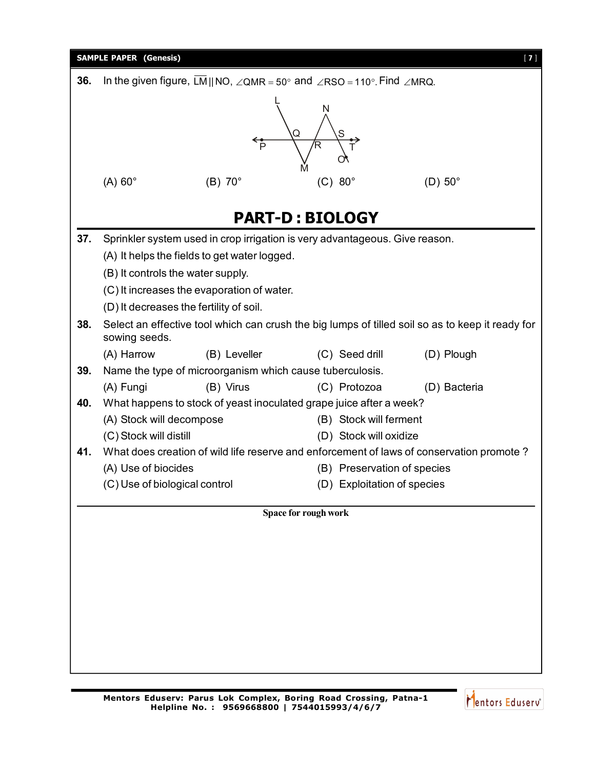

Mentors Eduserv<sup>®</sup>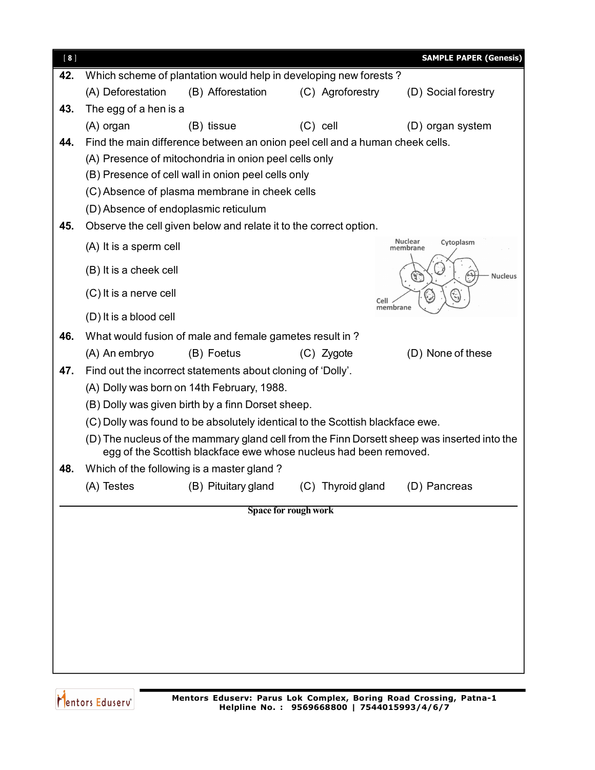| $[ 8 ]$ |                                                       |                                                                               |                      | <b>SAMPLE PAPER (Genesis)</b>                                                               |  |  |  |  |
|---------|-------------------------------------------------------|-------------------------------------------------------------------------------|----------------------|---------------------------------------------------------------------------------------------|--|--|--|--|
| 42.     |                                                       | Which scheme of plantation would help in developing new forests?              |                      |                                                                                             |  |  |  |  |
|         | (A) Deforestation                                     | (B) Afforestation                                                             | (C) Agroforestry     | (D) Social forestry                                                                         |  |  |  |  |
| 43.     | The egg of a hen is a                                 |                                                                               |                      |                                                                                             |  |  |  |  |
|         | (A) organ                                             | (B) tissue                                                                    | $(C)$ cell           | (D) organ system                                                                            |  |  |  |  |
| 44.     |                                                       | Find the main difference between an onion peel cell and a human cheek cells.  |                      |                                                                                             |  |  |  |  |
|         | (A) Presence of mitochondria in onion peel cells only |                                                                               |                      |                                                                                             |  |  |  |  |
|         |                                                       | (B) Presence of cell wall in onion peel cells only                            |                      |                                                                                             |  |  |  |  |
|         | (C) Absence of plasma membrane in cheek cells         |                                                                               |                      |                                                                                             |  |  |  |  |
|         | (D) Absence of endoplasmic reticulum                  |                                                                               |                      |                                                                                             |  |  |  |  |
| 45.     |                                                       | Observe the cell given below and relate it to the correct option.             |                      |                                                                                             |  |  |  |  |
|         | (A) It is a sperm cell                                |                                                                               |                      | Nuclear<br>Cytoplasm<br>membrane                                                            |  |  |  |  |
|         | (B) It is a cheek cell                                |                                                                               |                      |                                                                                             |  |  |  |  |
|         |                                                       |                                                                               |                      | <b>Nucleus</b><br>G.                                                                        |  |  |  |  |
|         | (C) It is a nerve cell                                |                                                                               | Cell                 | membrane                                                                                    |  |  |  |  |
|         | (D) It is a blood cell                                |                                                                               |                      |                                                                                             |  |  |  |  |
| 46.     |                                                       | What would fusion of male and female gametes result in?                       |                      |                                                                                             |  |  |  |  |
|         | (A) An embryo                                         | (B) Foetus                                                                    | (C) Zygote           | (D) None of these                                                                           |  |  |  |  |
| 47.     |                                                       | Find out the incorrect statements about cloning of 'Dolly'.                   |                      |                                                                                             |  |  |  |  |
|         |                                                       | (A) Dolly was born on 14th February, 1988.                                    |                      |                                                                                             |  |  |  |  |
|         |                                                       | (B) Dolly was given birth by a finn Dorset sheep.                             |                      |                                                                                             |  |  |  |  |
|         |                                                       | (C) Dolly was found to be absolutely identical to the Scottish blackface ewe. |                      |                                                                                             |  |  |  |  |
|         |                                                       | egg of the Scottish blackface ewe whose nucleus had been removed.             |                      | (D) The nucleus of the mammary gland cell from the Finn Dorsett sheep was inserted into the |  |  |  |  |
| 48.     |                                                       | Which of the following is a master gland?                                     |                      |                                                                                             |  |  |  |  |
|         | (A) Testes                                            | (B) Pituitary gland (C) Thyroid gland                                         |                      | (D) Pancreas                                                                                |  |  |  |  |
|         |                                                       |                                                                               | Space for rough work |                                                                                             |  |  |  |  |
|         |                                                       |                                                                               |                      |                                                                                             |  |  |  |  |
|         |                                                       |                                                                               |                      |                                                                                             |  |  |  |  |
|         |                                                       |                                                                               |                      |                                                                                             |  |  |  |  |
|         |                                                       |                                                                               |                      |                                                                                             |  |  |  |  |
|         |                                                       |                                                                               |                      |                                                                                             |  |  |  |  |
|         |                                                       |                                                                               |                      |                                                                                             |  |  |  |  |
|         |                                                       |                                                                               |                      |                                                                                             |  |  |  |  |
|         |                                                       |                                                                               |                      |                                                                                             |  |  |  |  |
|         |                                                       |                                                                               |                      |                                                                                             |  |  |  |  |

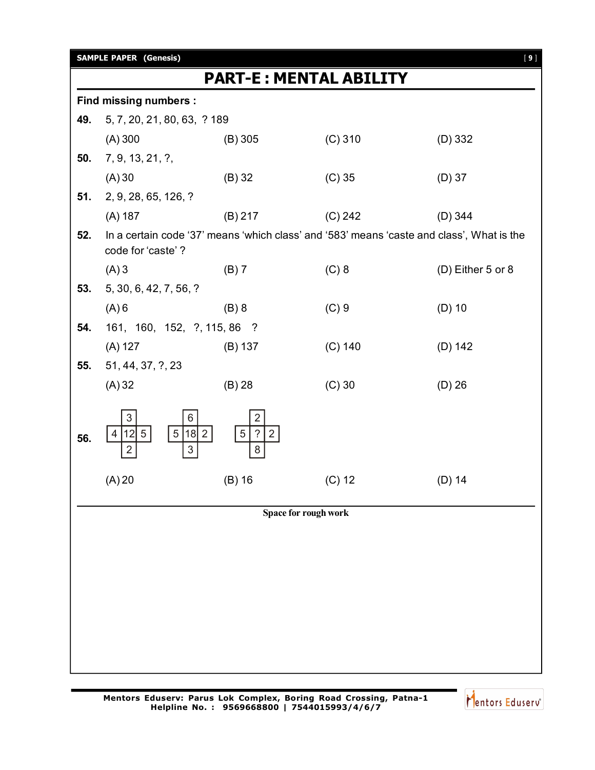|     | <b>SAMPLE PAPER (Genesis)</b>                                                 |                                                          |                                                                                           | $[9]$             |  |  |  |  |  |  |
|-----|-------------------------------------------------------------------------------|----------------------------------------------------------|-------------------------------------------------------------------------------------------|-------------------|--|--|--|--|--|--|
|     | <b>PART-E: MENTAL ABILITY</b>                                                 |                                                          |                                                                                           |                   |  |  |  |  |  |  |
|     | <b>Find missing numbers:</b>                                                  |                                                          |                                                                                           |                   |  |  |  |  |  |  |
| 49. | 5, 7, 20, 21, 80, 63, ? 189                                                   |                                                          |                                                                                           |                   |  |  |  |  |  |  |
|     | $(A)$ 300                                                                     | $(B)$ 305                                                | $(C)$ 310                                                                                 | $(D)$ 332         |  |  |  |  |  |  |
| 50. | 7, 9, 13, 21, ?,                                                              |                                                          |                                                                                           |                   |  |  |  |  |  |  |
|     | (A)30                                                                         | $(B)$ 32                                                 | $(C)$ 35                                                                                  | $(D)$ 37          |  |  |  |  |  |  |
| 51. | 2, 9, 28, 65, 126, ?                                                          |                                                          |                                                                                           |                   |  |  |  |  |  |  |
|     | (A) 187                                                                       | (B) 217                                                  | (C) 242                                                                                   | $(D)$ 344         |  |  |  |  |  |  |
| 52. | code for 'caste'?                                                             |                                                          | In a certain code '37' means 'which class' and '583' means 'caste and class', What is the |                   |  |  |  |  |  |  |
|     | $(A)$ 3                                                                       | (B) 7                                                    | $(C)$ 8                                                                                   | (D) Either 5 or 8 |  |  |  |  |  |  |
| 53. | 5, 30, 6, 42, 7, 56, ?                                                        |                                                          |                                                                                           |                   |  |  |  |  |  |  |
|     | $(A)$ 6                                                                       | $(B)$ 8                                                  | $(C)$ 9                                                                                   | $(D)$ 10          |  |  |  |  |  |  |
| 54. | 161, 160, 152, ?, 115, 86 ?                                                   |                                                          |                                                                                           |                   |  |  |  |  |  |  |
|     | (A) 127                                                                       | (B) 137                                                  | $(C)$ 140                                                                                 | (D) 142           |  |  |  |  |  |  |
| 55. | 51, 44, 37, ?, 23                                                             |                                                          |                                                                                           |                   |  |  |  |  |  |  |
|     | (A) 32                                                                        | $(B)$ 28                                                 | $(C)$ 30                                                                                  | $(D)$ 26          |  |  |  |  |  |  |
| 56. | 3<br>6<br>5 <br> 12  5  <br>$18$   2<br>$\overline{4}$<br>3<br>$\overline{2}$ | $\overline{2}$<br>$\sqrt{5}$<br>?<br>2 <sup>1</sup><br>8 |                                                                                           |                   |  |  |  |  |  |  |
|     | (A) 20                                                                        | $(B)$ 16                                                 | $(C)$ 12                                                                                  | $(D)$ 14          |  |  |  |  |  |  |
|     |                                                                               | Space for rough work                                     |                                                                                           |                   |  |  |  |  |  |  |
|     |                                                                               |                                                          |                                                                                           |                   |  |  |  |  |  |  |
|     |                                                                               |                                                          |                                                                                           |                   |  |  |  |  |  |  |
|     |                                                                               |                                                          |                                                                                           |                   |  |  |  |  |  |  |
|     |                                                                               |                                                          |                                                                                           |                   |  |  |  |  |  |  |
|     |                                                                               |                                                          |                                                                                           |                   |  |  |  |  |  |  |
|     |                                                                               |                                                          |                                                                                           |                   |  |  |  |  |  |  |
|     |                                                                               |                                                          |                                                                                           |                   |  |  |  |  |  |  |
|     |                                                                               |                                                          |                                                                                           |                   |  |  |  |  |  |  |

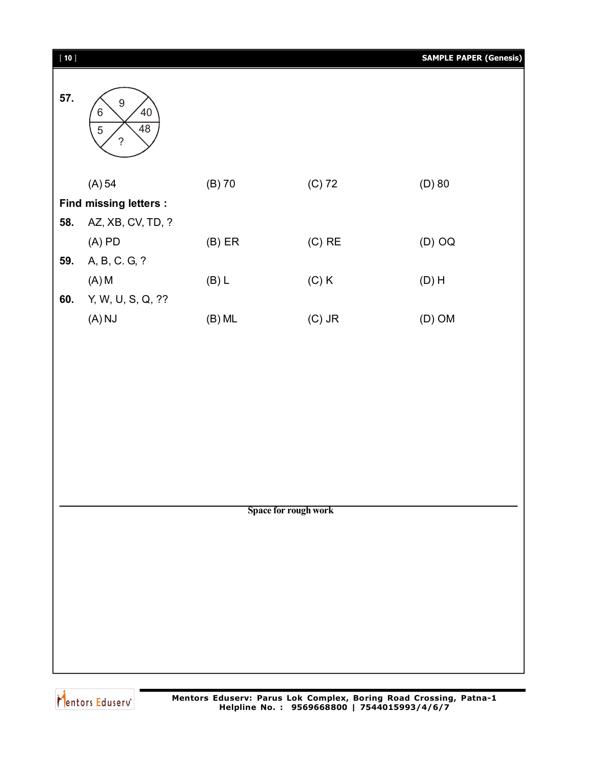| $[ 10 ]$ |                                                                                  |                      |          | <b>SAMPLE PAPER (Genesis)</b> |
|----------|----------------------------------------------------------------------------------|----------------------|----------|-------------------------------|
| 57.      | 9<br>40 <sup>2</sup><br>$\,6$<br>$\overline{48}$<br>$\sqrt{5}$<br>$\overline{?}$ |                      |          |                               |
|          | (A) 54                                                                           | $(B)$ 70             | $(C)$ 72 | $(D)$ 80                      |
|          | <b>Find missing letters:</b>                                                     |                      |          |                               |
| 58.      | AZ, XB, CV, TD, ?                                                                |                      |          |                               |
|          | $(A)$ PD                                                                         | $(B)$ ER             | $(C)$ RE | $(D)$ OQ                      |
| 59.      | A, B, C. G, ?                                                                    |                      |          |                               |
|          | (A) M                                                                            | (B) L                | $(C)$ K  | $(D)$ H                       |
| 60.      | Y, W, U, S, Q, ??                                                                |                      |          |                               |
|          | $(A)$ NJ                                                                         | $(B)$ ML             | $(C)$ JR | $(D)$ OM                      |
|          |                                                                                  |                      |          |                               |
|          |                                                                                  |                      |          |                               |
|          |                                                                                  |                      |          |                               |
|          |                                                                                  | Space for rough work |          |                               |
|          |                                                                                  |                      |          |                               |
|          |                                                                                  |                      |          |                               |
|          |                                                                                  |                      |          |                               |
|          |                                                                                  |                      |          |                               |
|          |                                                                                  |                      |          |                               |
|          |                                                                                  |                      |          |                               |
|          |                                                                                  |                      |          |                               |
|          |                                                                                  |                      |          |                               |